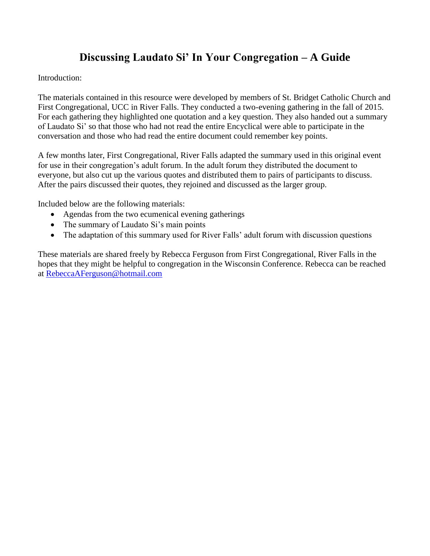## **Discussing Laudato Si' In Your Congregation – A Guide**

Introduction:

The materials contained in this resource were developed by members of St. Bridget Catholic Church and First Congregational, UCC in River Falls. They conducted a two-evening gathering in the fall of 2015. For each gathering they highlighted one quotation and a key question. They also handed out a summary of Laudato Si' so that those who had not read the entire Encyclical were able to participate in the conversation and those who had read the entire document could remember key points.

A few months later, First Congregational, River Falls adapted the summary used in this original event for use in their congregation's adult forum. In the adult forum they distributed the document to everyone, but also cut up the various quotes and distributed them to pairs of participants to discuss. After the pairs discussed their quotes, they rejoined and discussed as the larger group.

Included below are the following materials:

- Agendas from the two ecumenical evening gatherings
- The summary of Laudato Si's main points
- The adaptation of this summary used for River Falls' adult forum with discussion questions

These materials are shared freely by Rebecca Ferguson from First Congregational, River Falls in the hopes that they might be helpful to congregation in the Wisconsin Conference. Rebecca can be reached at [RebeccaAFerguson@hotmail.com](mailto:RebeccaAFerguson@hotmail.com)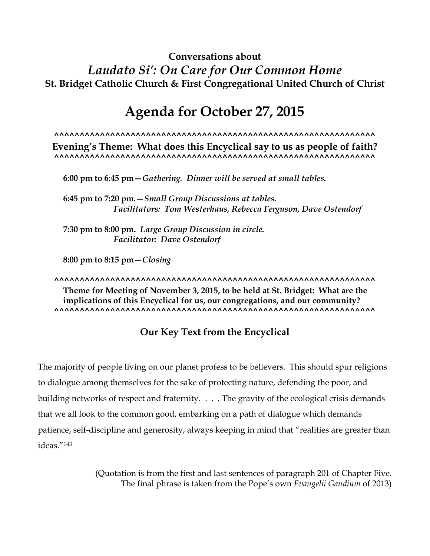## **Conversations about**  *Laudato Si': On Care for Our Common Home* **St. Bridget Catholic Church & First Congregational United Church of Christ**

# **Agenda for October 27, 2015**

**^^^^^^^^^^^^^^^^^^^^^^^^^^^^^^^^^^^^^^^^^^^^^^^^^^^^^^^^^^^^^^^**

**Evening's Theme: What does this Encyclical say to us as people of faith? ^^^^^^^^^^^^^^^^^^^^^^^^^^^^^^^^^^^^^^^^^^^^^^^^^^^^^^^^^^^^^^^**

**6:00 pm to 6:45 pm—***Gathering.**Dinner will be served at small tables.*

**6:45 pm to 7:20 pm***.—Small Group Discussions at tables. Facilitators: Tom Westerhaus, Rebecca Ferguson, Dave Ostendorf*

**7:30 pm to 8:00 pm.** *Large Group Discussion in circle. Facilitator: Dave Ostendorf*

**8:00 pm to 8:15 pm**—*Closing*

**^^^^^^^^^^^^^^^^^^^^^^^^^^^^^^^^^^^^^^^^^^^^^^^^^^^^^^^^^^^^^^^ Theme for Meeting of November 3, 2015, to be held at St. Bridget: What are the implications of this Encyclical for us, our congregations, and our community? ^^^^^^^^^^^^^^^^^^^^^^^^^^^^^^^^^^^^^^^^^^^^^^^^^^^^^^^^^^^^^^^**

### **Our Key Text from the Encyclical**

The majority of people living on our planet profess to be believers. This should spur religions to dialogue among themselves for the sake of protecting nature, defending the poor, and building networks of respect and fraternity. . . . The gravity of the ecological crisis demands that we all look to the common good, embarking on a path of dialogue which demands patience, self-discipline and generosity, always keeping in mind that "realities are greater than ideas<sup>"143</sup>

> (Quotation is from the first and last sentences of paragraph 201 of Chapter Five. The final phrase is taken from the Pope's own *Evangelii Gaudium* of 2013)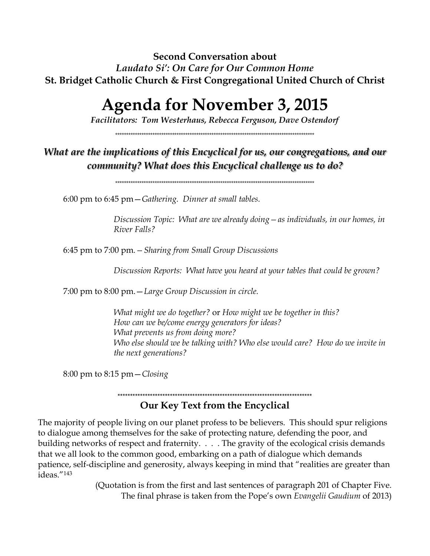**Second Conversation about**  *Laudato Si': On Care for Our Common Home* **St. Bridget Catholic Church & First Congregational United Church of Christ**

# **Agenda for November 3, 2015**

*Facilitators: Tom Westerhaus, Rebecca Ferguson, Dave Ostendorf*

\*\*\*\*\*\*\*\*\*\*\*\*\*\*\*\*\*\*\*\*\*\*\*\*\*\*\*\*\*\*\*\*\*\*\*\*\*\*\*\*\*\*\*\*\*\*\*\*\*\*\*\*\*\*\*\*\*\*\*\*\*\*\*\*\*\*\*\*\*\*\*\*\*\*\*\*\*\*\*\*\*\*\*\*\*\*\*\*\*\*\*

### *What are the implications of this Encyclical for us, our congregations, and our community? What does this Encyclical challenge us to do?*

\*\*\*\*\*\*\*\*\*\*\*\*\*\*\*\*\*\*\*\*\*\*\*\*\*\*\*\*\*\*\*\*\*\*\*\*\*\*\*\*\*\*\*\*\*\*\*\*\*\*\*\*\*\*\*\*\*\*\*\*\*\*\*\*\*\*\*\*\*\*\*\*\*\*\*\*\*\*\*\*\*\*\*\*\*\*\*\*\*\*\*

6:00 pm to 6:45 pm—*Gathering. Dinner at small tables.*

*Discussion Topic: What are we already doing—as individuals, in our homes, in River Falls?*

6:45 pm to 7:00 pm*.—Sharing from Small Group Discussions* 

*Discussion Reports: What have you heard at your tables that could be grown?*

7:00 pm to 8:00 pm.—*Large Group Discussion in circle.*

*What might we do together?* or *How might we be together in this? How can we be/come energy generators for ideas? What prevents us from doing more? Who else should we be talking with? Who else would care? How do we invite in the next generations?*

8:00 pm to 8:15 pm—*Closing*

# **\*\*\*\*\*\*\*\*\*\*\*\*\*\*\*\*\*\*\*\*\*\*\*\*\*\*\*\*\*\*\*\*\*\*\*\*\*\*\*\*\*\*\*\*\*\*\*\*\*\*\*\*\*\*\*\*\*\*\*\*\*\*\*\*\*\*\*\*\*\*\*\*\*\*\*\*\*\***

### **Our Key Text from the Encyclical**

The majority of people living on our planet profess to be believers. This should spur religions to dialogue among themselves for the sake of protecting nature, defending the poor, and building networks of respect and fraternity. . . . The gravity of the ecological crisis demands that we all look to the common good, embarking on a path of dialogue which demands patience, self-discipline and generosity, always keeping in mind that "realities are greater than ideas."<sup>143</sup>

> (Quotation is from the first and last sentences of paragraph 201 of Chapter Five. The final phrase is taken from the Pope's own *Evangelii Gaudium* of 2013)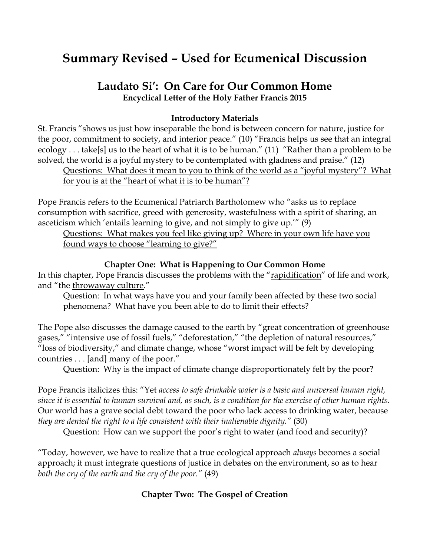# **Summary Revised – Used for Ecumenical Discussion**

### **Laudato Si': On Care for Our Common Home Encyclical Letter of the Holy Father Francis 2015**

#### **Introductory Materials**

St. Francis "shows us just how inseparable the bond is between concern for nature, justice for the poor, commitment to society, and interior peace." (10) "Francis helps us see that an integral ecology . . . take[s] us to the heart of what it is to be human." (11) "Rather than a problem to be solved, the world is a joyful mystery to be contemplated with gladness and praise." (12) Questions: What does it mean to you to think of the world as a "joyful mystery"? What for you is at the "heart of what it is to be human"?

Pope Francis refers to the Ecumenical Patriarch Bartholomew who "asks us to replace consumption with sacrifice, greed with generosity, wastefulness with a spirit of sharing, an asceticism which 'entails learning to give, and not simply to give up.'" (9)

Questions: What makes you feel like giving up? Where in your own life have you found ways to choose "learning to give?"

#### **Chapter One: What is Happening to Our Common Home**

In this chapter, Pope Francis discusses the problems with the "rapidification" of life and work, and "the throwaway culture."

Question: In what ways have you and your family been affected by these two social phenomena? What have you been able to do to limit their effects?

The Pope also discusses the damage caused to the earth by "great concentration of greenhouse gases," "intensive use of fossil fuels," "deforestation," "the depletion of natural resources," "loss of biodiversity," and climate change, whose "worst impact will be felt by developing countries . . . [and] many of the poor."

Question: Why is the impact of climate change disproportionately felt by the poor?

Pope Francis italicizes this: "Yet *access to safe drinkable water is a basic and universal human right, since it is essential to human survival and, as such, is a condition for the exercise of other human rights.*  Our world has a grave social debt toward the poor who lack access to drinking water, because *they are denied the right to a life consistent with their inalienable dignity."* (30)

Question: How can we support the poor's right to water (and food and security)?

"Today, however, we have to realize that a true ecological approach *always* becomes a social approach; it must integrate questions of justice in debates on the environment, so as to hear *both the cry of the earth and the cry of the poor."* (49)

#### **Chapter Two: The Gospel of Creation**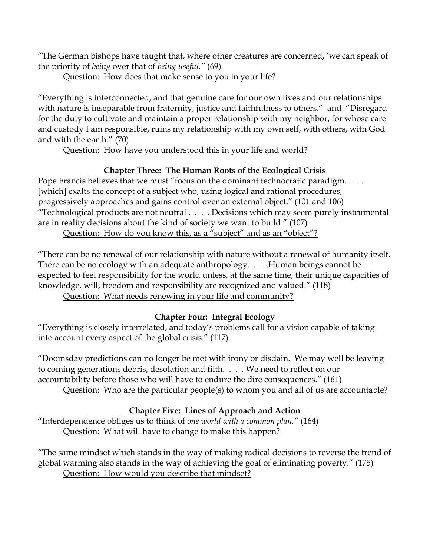"The German bishops have taught that, where other creatures are concerned, 'we can speak of the priority of *being* over that of *being useful."* (69)

Question: How does that make sense to you in your life?

"Everything is interconnected, and that genuine care for our own lives and our relationships with nature is inseparable from fraternity, justice and faithfulness to others." and "Disregard for the duty to cultivate and maintain a proper relationship with my neighbor, for whose care and custody I am responsible, ruins my relationship with my own self, with others, with God and with the earth." (70)

Question: How have you understood this in your life and world?

#### **Chapter Three: The Human Roots of the Ecological Crisis**

Pope Francis believes that we must "focus on the dominant technocratic paradigm. . . . . [which] exalts the concept of a subject who, using logical and rational procedures, progressively approaches and gains control over an external object." (101 and 106) "Technological products are not neutral . . . . Decisions which may seem purely instrumental are in reality decisions about the kind of society we want to build." (107)

Question: How do you know this, as a "subject" and as an "object"?

"There can be no renewal of our relationship with nature without a renewal of humanity itself. There can be no ecology with an adequate anthropology. . . . . Human beings cannot be expected to feel responsibility for the world unless, at the same time, their unique capacities of knowledge, will, freedom and responsibility are recognized and valued." (118)

Question: What needs renewing in your life and community?

### **Chapter Four: Integral Ecology**

"Everything is closely interrelated, and today's problems call for a vision capable of taking into account every aspect of the global crisis." (117)

"Doomsday predictions can no longer be met with irony or disdain. We may well be leaving to coming generations debris, desolation and filth. . . . We need to reflect on our accountability before those who will have to endure the dire consequences." (161) Question: Who are the particular people(s) to whom you and all of us are accountable?

### **Chapter Five: Lines of Approach and Action**

"Interdependence obliges us to think of *one world with a common plan."* (164) Question: What will have to change to make this happen?

"The same mindset which stands in the way of making radical decisions to reverse the trend of global warming also stands in the way of achieving the goal of eliminating poverty." (175) Question: How would you describe that mindset?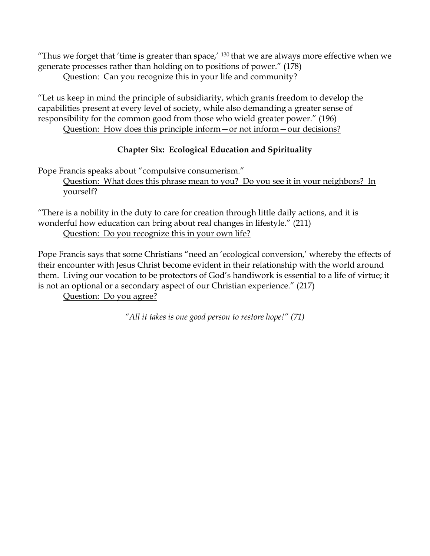"Thus we forget that 'time is greater than space,'  $130$  that we are always more effective when we generate processes rather than holding on to positions of power." (178) Question: Can you recognize this in your life and community?

"Let us keep in mind the principle of subsidiarity, which grants freedom to develop the capabilities present at every level of society, while also demanding a greater sense of responsibility for the common good from those who wield greater power." (196) Question: How does this principle inform—or not inform—our decisions?

### **Chapter Six: Ecological Education and Spirituality**

Pope Francis speaks about "compulsive consumerism."

Question: What does this phrase mean to you? Do you see it in your neighbors? In yourself?

"There is a nobility in the duty to care for creation through little daily actions, and it is wonderful how education can bring about real changes in lifestyle." (211) Question: Do you recognize this in your own life?

Pope Francis says that some Christians "need an 'ecological conversion,' whereby the effects of their encounter with Jesus Christ become evident in their relationship with the world around them. Living our vocation to be protectors of God's handiwork is essential to a life of virtue; it is not an optional or a secondary aspect of our Christian experience." (217)

Question: Do you agree?

*"All it takes is one good person to restore hope!" (71)*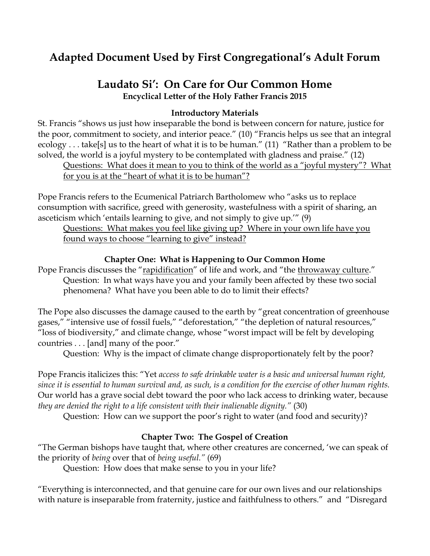# **Adapted Document Used by First Congregational's Adult Forum**

### **Laudato Si': On Care for Our Common Home Encyclical Letter of the Holy Father Francis 2015**

#### **Introductory Materials**

St. Francis "shows us just how inseparable the bond is between concern for nature, justice for the poor, commitment to society, and interior peace." (10) "Francis helps us see that an integral ecology . . . take[s] us to the heart of what it is to be human." (11) "Rather than a problem to be solved, the world is a joyful mystery to be contemplated with gladness and praise." (12)

Questions: What does it mean to you to think of the world as a "joyful mystery"? What for you is at the "heart of what it is to be human"?

Pope Francis refers to the Ecumenical Patriarch Bartholomew who "asks us to replace consumption with sacrifice, greed with generosity, wastefulness with a spirit of sharing, an asceticism which 'entails learning to give, and not simply to give up.'" (9)

Questions: What makes you feel like giving up? Where in your own life have you found ways to choose "learning to give" instead?

#### **Chapter One: What is Happening to Our Common Home**

Pope Francis discusses the "rapidification" of life and work, and "the throwaway culture." Question: In what ways have you and your family been affected by these two social phenomena? What have you been able to do to limit their effects?

The Pope also discusses the damage caused to the earth by "great concentration of greenhouse gases," "intensive use of fossil fuels," "deforestation," "the depletion of natural resources," "loss of biodiversity," and climate change, whose "worst impact will be felt by developing countries . . . [and] many of the poor."

Question: Why is the impact of climate change disproportionately felt by the poor?

Pope Francis italicizes this: "Yet *access to safe drinkable water is a basic and universal human right, since it is essential to human survival and, as such, is a condition for the exercise of other human rights.*  Our world has a grave social debt toward the poor who lack access to drinking water, because *they are denied the right to a life consistent with their inalienable dignity."* (30)

Question: How can we support the poor's right to water (and food and security)?

#### **Chapter Two: The Gospel of Creation**

"The German bishops have taught that, where other creatures are concerned, 'we can speak of the priority of *being* over that of *being useful."* (69)

Question: How does that make sense to you in your life?

"Everything is interconnected, and that genuine care for our own lives and our relationships with nature is inseparable from fraternity, justice and faithfulness to others." and "Disregard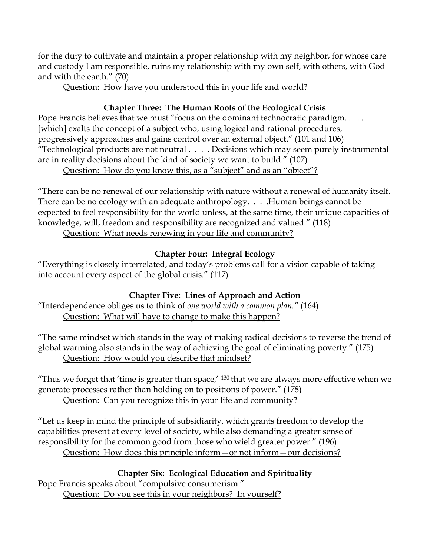for the duty to cultivate and maintain a proper relationship with my neighbor, for whose care and custody I am responsible, ruins my relationship with my own self, with others, with God and with the earth." (70)

Question: How have you understood this in your life and world?

#### **Chapter Three: The Human Roots of the Ecological Crisis**

Pope Francis believes that we must "focus on the dominant technocratic paradigm. . . . . [which] exalts the concept of a subject who, using logical and rational procedures, progressively approaches and gains control over an external object." (101 and 106) "Technological products are not neutral . . . . Decisions which may seem purely instrumental are in reality decisions about the kind of society we want to build." (107) Question: How do you know this, as a "subject" and as an "object"?

"There can be no renewal of our relationship with nature without a renewal of humanity itself. There can be no ecology with an adequate anthropology.  $\ldots$  Human beings cannot be expected to feel responsibility for the world unless, at the same time, their unique capacities of knowledge, will, freedom and responsibility are recognized and valued." (118) Question: What needs renewing in your life and community?

#### **Chapter Four: Integral Ecology**

"Everything is closely interrelated, and today's problems call for a vision capable of taking into account every aspect of the global crisis." (117)

### **Chapter Five: Lines of Approach and Action**

"Interdependence obliges us to think of *one world with a common plan."* (164) Question: What will have to change to make this happen?

"The same mindset which stands in the way of making radical decisions to reverse the trend of global warming also stands in the way of achieving the goal of eliminating poverty." (175) Question: How would you describe that mindset?

"Thus we forget that 'time is greater than space,'  $130$  that we are always more effective when we generate processes rather than holding on to positions of power." (178) Question: Can you recognize this in your life and community?

"Let us keep in mind the principle of subsidiarity, which grants freedom to develop the capabilities present at every level of society, while also demanding a greater sense of responsibility for the common good from those who wield greater power." (196)

Question: How does this principle inform—or not inform—our decisions?

### **Chapter Six: Ecological Education and Spirituality**

Pope Francis speaks about "compulsive consumerism." Question: Do you see this in your neighbors? In yourself?